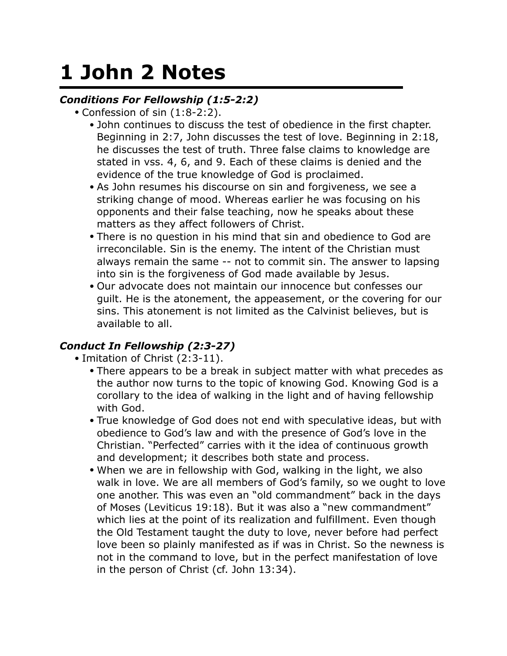## **1 John 2 Notes**

## *Conditions For Fellowship (1:5-2:2)*

- Confession of sin (1:8-2:2).
	- John continues to discuss the test of obedience in the first chapter. Beginning in 2:7, John discusses the test of love. Beginning in 2:18, he discusses the test of truth. Three false claims to knowledge are stated in vss. 4, 6, and 9. Each of these claims is denied and the evidence of the true knowledge of God is proclaimed.
	- As John resumes his discourse on sin and forgiveness, we see a striking change of mood. Whereas earlier he was focusing on his opponents and their false teaching, now he speaks about these matters as they affect followers of Christ.
	- There is no question in his mind that sin and obedience to God are irreconcilable. Sin is the enemy. The intent of the Christian must always remain the same -- not to commit sin. The answer to lapsing into sin is the forgiveness of God made available by Jesus.
	- Our advocate does not maintain our innocence but confesses our guilt. He is the atonement, the appeasement, or the covering for our sins. This atonement is not limited as the Calvinist believes, but is available to all.

## *Conduct In Fellowship (2:3-27)*

- Imitation of Christ (2:3-11).
	- There appears to be a break in subject matter with what precedes as the author now turns to the topic of knowing God. Knowing God is a corollary to the idea of walking in the light and of having fellowship with God.
	- True knowledge of God does not end with speculative ideas, but with obedience to God's law and with the presence of God's love in the Christian. "Perfected" carries with it the idea of continuous growth and development; it describes both state and process.
	- When we are in fellowship with God, walking in the light, we also walk in love. We are all members of God's family, so we ought to love one another. This was even an "old commandment" back in the days of Moses (Leviticus 19:18). But it was also a "new commandment" which lies at the point of its realization and fulfillment. Even though the Old Testament taught the duty to love, never before had perfect love been so plainly manifested as if was in Christ. So the newness is not in the command to love, but in the perfect manifestation of love in the person of Christ (cf. John 13:34).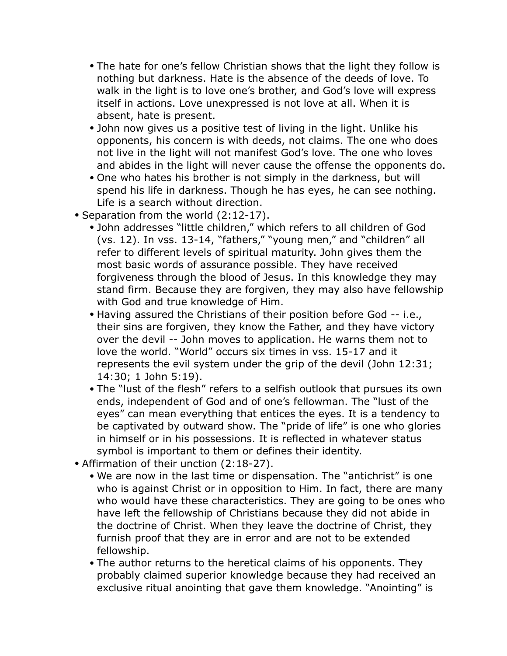- The hate for one's fellow Christian shows that the light they follow is nothing but darkness. Hate is the absence of the deeds of love. To walk in the light is to love one's brother, and God's love will express itself in actions. Love unexpressed is not love at all. When it is absent, hate is present.
- John now gives us a positive test of living in the light. Unlike his opponents, his concern is with deeds, not claims. The one who does not live in the light will not manifest God's love. The one who loves and abides in the light will never cause the offense the opponents do.
- One who hates his brother is not simply in the darkness, but will spend his life in darkness. Though he has eyes, he can see nothing. Life is a search without direction.
- Separation from the world (2:12-17).
	- John addresses "little children," which refers to all children of God (vs. 12). In vss. 13-14, "fathers," "young men," and "children" all refer to different levels of spiritual maturity. John gives them the most basic words of assurance possible. They have received forgiveness through the blood of Jesus. In this knowledge they may stand firm. Because they are forgiven, they may also have fellowship with God and true knowledge of Him.
	- Having assured the Christians of their position before God -- i.e., their sins are forgiven, they know the Father, and they have victory over the devil -- John moves to application. He warns them not to love the world. "World" occurs six times in vss. 15-17 and it represents the evil system under the grip of the devil (John 12:31; 14:30; 1 John 5:19).
	- The "lust of the flesh" refers to a selfish outlook that pursues its own ends, independent of God and of one's fellowman. The "lust of the eyes" can mean everything that entices the eyes. It is a tendency to be captivated by outward show. The "pride of life" is one who glories in himself or in his possessions. It is reflected in whatever status symbol is important to them or defines their identity.
- Affirmation of their unction (2:18-27).
	- We are now in the last time or dispensation. The "antichrist" is one who is against Christ or in opposition to Him. In fact, there are many who would have these characteristics. They are going to be ones who have left the fellowship of Christians because they did not abide in the doctrine of Christ. When they leave the doctrine of Christ, they furnish proof that they are in error and are not to be extended fellowship.
	- The author returns to the heretical claims of his opponents. They probably claimed superior knowledge because they had received an exclusive ritual anointing that gave them knowledge. "Anointing" is